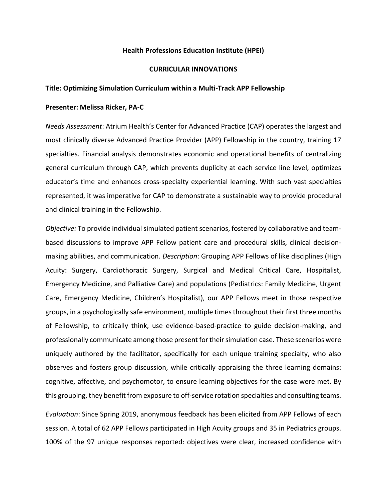## **Health Professions Education Institute (HPEI)**

## **CURRICULAR INNOVATIONS**

## **Title: Optimizing Simulation Curriculum within a Multi‐Track APP Fellowship**

## **Presenter: Melissa Ricker, PA‐C**

*Needs Assessment*: Atrium Health's Center for Advanced Practice (CAP) operates the largest and most clinically diverse Advanced Practice Provider (APP) Fellowship in the country, training 17 specialties. Financial analysis demonstrates economic and operational benefits of centralizing general curriculum through CAP, which prevents duplicity at each service line level, optimizes educator's time and enhances cross-specialty experiential learning. With such vast specialties represented, it was imperative for CAP to demonstrate a sustainable way to provide procedural and clinical training in the Fellowship.

*Objective:* To provide individual simulated patient scenarios, fostered by collaborative and team‐ based discussions to improve APP Fellow patient care and procedural skills, clinical decisionmaking abilities, and communication. *Description*: Grouping APP Fellows of like disciplines (High Acuity: Surgery, Cardiothoracic Surgery, Surgical and Medical Critical Care, Hospitalist, Emergency Medicine, and Palliative Care) and populations (Pediatrics: Family Medicine, Urgent Care, Emergency Medicine, Children's Hospitalist), our APP Fellows meet in those respective groups, in a psychologically safe environment, multiple times throughout their first three months of Fellowship, to critically think, use evidence‐based‐practice to guide decision‐making, and professionally communicate among those present for their simulation case. These scenarios were uniquely authored by the facilitator, specifically for each unique training specialty, who also observes and fosters group discussion, while critically appraising the three learning domains: cognitive, affective, and psychomotor, to ensure learning objectives for the case were met. By this grouping, they benefit from exposure to off‐service rotation specialties and consulting teams.

*Evaluation*: Since Spring 2019, anonymous feedback has been elicited from APP Fellows of each session. A total of 62 APP Fellows participated in High Acuity groups and 35 in Pediatrics groups. 100% of the 97 unique responses reported: objectives were clear, increased confidence with